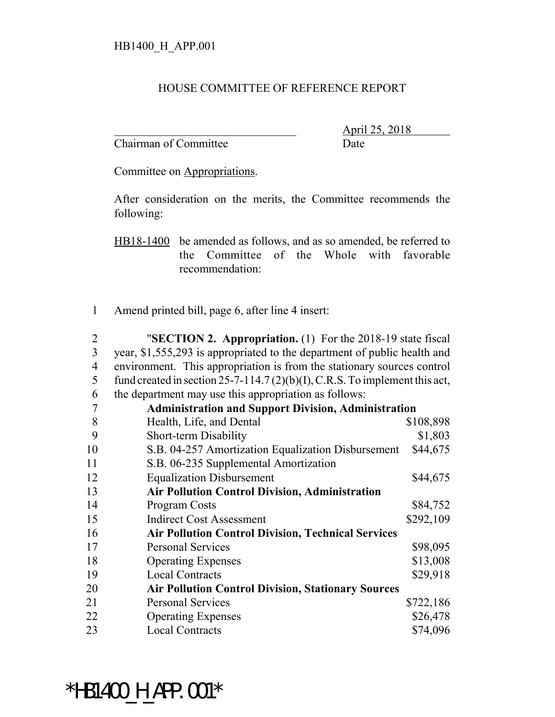## HOUSE COMMITTEE OF REFERENCE REPORT

Chairman of Committee Date

\_\_\_\_\_\_\_\_\_\_\_\_\_\_\_\_\_\_\_\_\_\_\_\_\_\_\_\_\_\_\_ April 25, 2018

Committee on Appropriations.

After consideration on the merits, the Committee recommends the following:

HB18-1400 be amended as follows, and as so amended, be referred to the Committee of the Whole with favorable recommendation:

1 Amend printed bill, page 6, after line 4 insert:

 "**SECTION 2. Appropriation.** (1) For the 2018-19 state fiscal year, \$1,555,293 is appropriated to the department of public health and environment. This appropriation is from the stationary sources control 5 fund created in section 25-7-114.7 (2)(b)(I), C.R.S. To implement this act, the department may use this appropriation as follows:

|    | <b>Administration and Support Division, Administration</b> |           |  |
|----|------------------------------------------------------------|-----------|--|
| 8  | Health, Life, and Dental                                   | \$108,898 |  |
| 9  | Short-term Disability                                      | \$1,803   |  |
| 10 | S.B. 04-257 Amortization Equalization Disbursement         | \$44,675  |  |
| 11 | S.B. 06-235 Supplemental Amortization                      |           |  |
| 12 | <b>Equalization Disbursement</b>                           | \$44,675  |  |
| 13 | <b>Air Pollution Control Division, Administration</b>      |           |  |
| 14 | <b>Program Costs</b>                                       | \$84,752  |  |
| 15 | <b>Indirect Cost Assessment</b>                            | \$292,109 |  |
| 16 | <b>Air Pollution Control Division, Technical Services</b>  |           |  |
| 17 | <b>Personal Services</b>                                   | \$98,095  |  |
| 18 | <b>Operating Expenses</b>                                  | \$13,008  |  |
| 19 | <b>Local Contracts</b>                                     | \$29,918  |  |
| 20 | <b>Air Pollution Control Division, Stationary Sources</b>  |           |  |
| 21 | <b>Personal Services</b>                                   | \$722,186 |  |
| 22 | <b>Operating Expenses</b>                                  | \$26,478  |  |
| 23 | <b>Local Contracts</b>                                     | \$74,096  |  |

\*HB1400 H APP.001\*